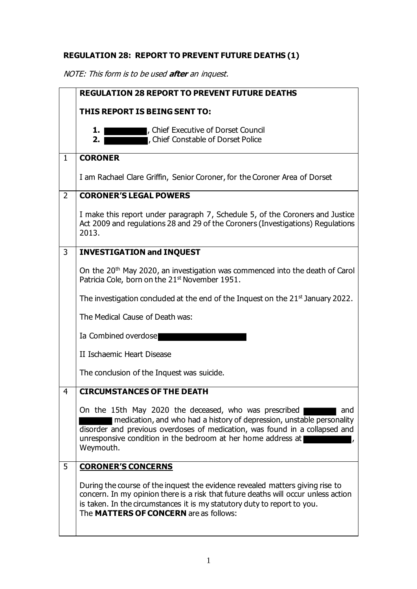## **REGULATION 28: REPORT TO PREVENT FUTURE DEATHS (1)**

NOTE: This form is to be used **after** an inquest.

|                | <b>REGULATION 28 REPORT TO PREVENT FUTURE DEATHS</b>                                                                                                                                                                                                                                              |  |  |
|----------------|---------------------------------------------------------------------------------------------------------------------------------------------------------------------------------------------------------------------------------------------------------------------------------------------------|--|--|
|                | <b>THIS REPORT IS BEING SENT TO:</b>                                                                                                                                                                                                                                                              |  |  |
|                | , Chief Executive of Dorset Council<br>1.<br>, Chief Constable of Dorset Police<br>2.1                                                                                                                                                                                                            |  |  |
| $\mathbf{1}$   | <b>CORONER</b>                                                                                                                                                                                                                                                                                    |  |  |
|                | I am Rachael Clare Griffin, Senior Coroner, for the Coroner Area of Dorset                                                                                                                                                                                                                        |  |  |
| $\overline{2}$ | <b>CORONER'S LEGAL POWERS</b>                                                                                                                                                                                                                                                                     |  |  |
|                | I make this report under paragraph 7, Schedule 5, of the Coroners and Justice<br>Act 2009 and regulations 28 and 29 of the Coroners (Investigations) Regulations<br>2013.                                                                                                                         |  |  |
| 3              | <b>INVESTIGATION and INQUEST</b>                                                                                                                                                                                                                                                                  |  |  |
|                | On the 20 <sup>th</sup> May 2020, an investigation was commenced into the death of Carol<br>Patricia Cole, born on the 21 <sup>st</sup> November 1951.                                                                                                                                            |  |  |
|                | The investigation concluded at the end of the Inquest on the $21st$ January 2022.                                                                                                                                                                                                                 |  |  |
|                | The Medical Cause of Death was:                                                                                                                                                                                                                                                                   |  |  |
|                | Ia Combined overdose                                                                                                                                                                                                                                                                              |  |  |
|                | II Ischaemic Heart Disease                                                                                                                                                                                                                                                                        |  |  |
|                | The conclusion of the Inquest was suicide.                                                                                                                                                                                                                                                        |  |  |
| 4              | <b>CIRCUMSTANCES OF THE DEATH</b>                                                                                                                                                                                                                                                                 |  |  |
|                | On the 15th May 2020 the deceased, who was prescribed<br>and<br>medication, and who had a history of depression, unstable personality<br>disorder and previous overdoses of medication, was found in a collapsed and<br>unresponsive condition in the bedroom at her home address at<br>Weymouth. |  |  |
| 5              | <b>CORONER'S CONCERNS</b>                                                                                                                                                                                                                                                                         |  |  |
|                | During the course of the inquest the evidence revealed matters giving rise to<br>concern. In my opinion there is a risk that future deaths will occur unless action<br>is taken. In the circumstances it is my statutory duty to report to you.<br>The MATTERS OF CONCERN are as follows:         |  |  |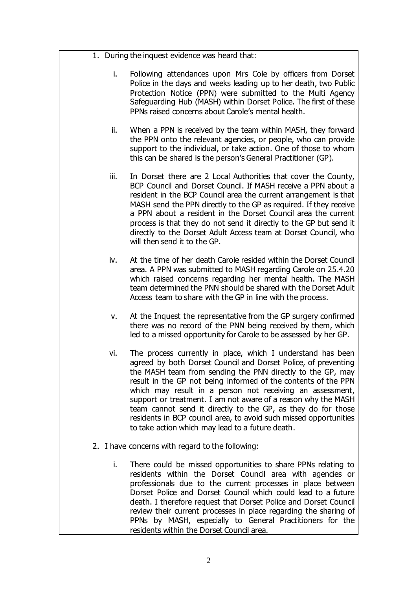- 1. During the inquest evidence was heard that:
	- i. Following attendances upon Mrs Cole by officers from Dorset Police in the days and weeks leading up to her death, two Public Protection Notice (PPN) were submitted to the Multi Agency Safeguarding Hub (MASH) within Dorset Police. The first of these PPNs raised concerns about Carole's mental health.
	- ii. When a PPN is received by the team within MASH, they forward the PPN onto the relevant agencies, or people, who can provide support to the individual, or take action. One of those to whom this can be shared is the person's General Practitioner (GP).
	- iii. In Dorset there are 2 Local Authorities that cover the County, BCP Council and Dorset Council. If MASH receive a PPN about a resident in the BCP Council area the current arrangement is that MASH send the PPN directly to the GP as required. If they receive a PPN about a resident in the Dorset Council area the current process is that they do not send it directly to the GP but send it directly to the Dorset Adult Access team at Dorset Council, who will then send it to the GP.
	- iv. At the time of her death Carole resided within the Dorset Council area. A PPN was submitted to MASH regarding Carole on 25.4.20 which raised concerns regarding her mental health. The MASH team determined the PNN should be shared with the Dorset Adult Access team to share with the GP in line with the process.
	- v. At the Inquest the representative from the GP surgery confirmed there was no record of the PNN being received by them, which led to a missed opportunity for Carole to be assessed by her GP.
	- vi. The process currently in place, which I understand has been agreed by both Dorset Council and Dorset Police, of preventing the MASH team from sending the PNN directly to the GP, may result in the GP not being informed of the contents of the PPN which may result in a person not receiving an assessment, support or treatment. I am not aware of a reason why the MASH team cannot send it directly to the GP, as they do for those residents in BCP council area, to avoid such missed opportunities to take action which may lead to a future death.
- 2. I have concerns with regard to the following:
	- i. There could be missed opportunities to share PPNs relating to residents within the Dorset Council area with agencies or professionals due to the current processes in place between Dorset Police and Dorset Council which could lead to a future death. I therefore request that Dorset Police and Dorset Council review their current processes in place regarding the sharing of PPNs by MASH, especially to General Practitioners for the residents within the Dorset Council area.